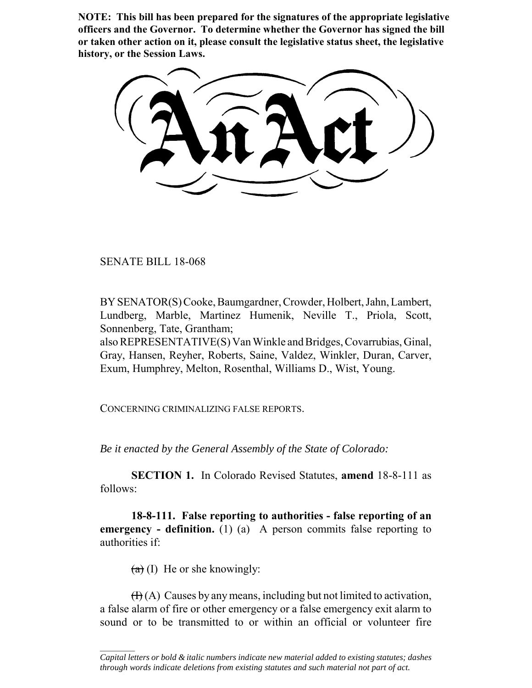**NOTE: This bill has been prepared for the signatures of the appropriate legislative officers and the Governor. To determine whether the Governor has signed the bill or taken other action on it, please consult the legislative status sheet, the legislative history, or the Session Laws.**

SENATE BILL 18-068

BY SENATOR(S) Cooke, Baumgardner, Crowder, Holbert, Jahn, Lambert, Lundberg, Marble, Martinez Humenik, Neville T., Priola, Scott, Sonnenberg, Tate, Grantham;

also REPRESENTATIVE(S) Van Winkle and Bridges, Covarrubias, Ginal, Gray, Hansen, Reyher, Roberts, Saine, Valdez, Winkler, Duran, Carver, Exum, Humphrey, Melton, Rosenthal, Williams D., Wist, Young.

CONCERNING CRIMINALIZING FALSE REPORTS.

*Be it enacted by the General Assembly of the State of Colorado:*

**SECTION 1.** In Colorado Revised Statutes, **amend** 18-8-111 as follows:

**18-8-111. False reporting to authorities - false reporting of an emergency** - **definition.** (1) (a) A person commits false reporting to authorities if:

 $(a)$  (I) He or she knowingly:

 $\frac{1}{2}$ 

 $(H)(A)$  Causes by any means, including but not limited to activation, a false alarm of fire or other emergency or a false emergency exit alarm to sound or to be transmitted to or within an official or volunteer fire

*Capital letters or bold & italic numbers indicate new material added to existing statutes; dashes through words indicate deletions from existing statutes and such material not part of act.*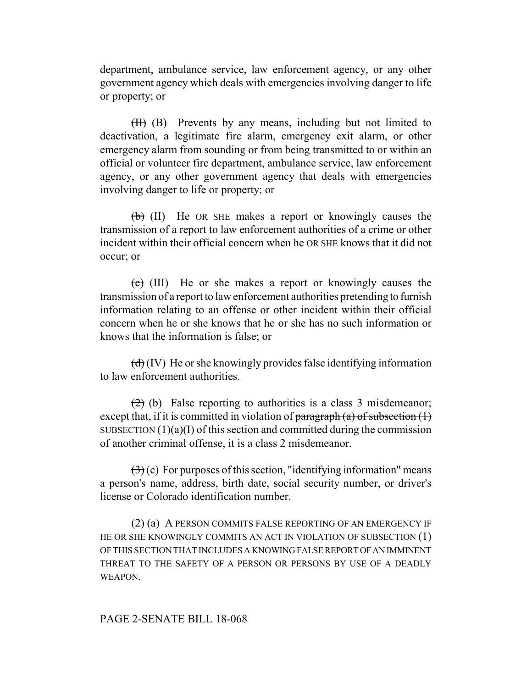department, ambulance service, law enforcement agency, or any other government agency which deals with emergencies involving danger to life or property; or

(II) (B) Prevents by any means, including but not limited to deactivation, a legitimate fire alarm, emergency exit alarm, or other emergency alarm from sounding or from being transmitted to or within an official or volunteer fire department, ambulance service, law enforcement agency, or any other government agency that deals with emergencies involving danger to life or property; or

 $\left(\frac{b}{b}\right)$  (II) He OR SHE makes a report or knowingly causes the transmission of a report to law enforcement authorities of a crime or other incident within their official concern when he OR SHE knows that it did not occur; or

 $\overline{(c)}$  (III) He or she makes a report or knowingly causes the transmission of a report to law enforcement authorities pretending to furnish information relating to an offense or other incident within their official concern when he or she knows that he or she has no such information or knows that the information is false; or

 $\left(\frac{d}{d}\right)$  (IV) He or she knowingly provides false identifying information to law enforcement authorities.

 $(2)$  (b) False reporting to authorities is a class 3 misdemeanor; except that, if it is committed in violation of paragraph (a) of subsection  $(1)$ SUBSECTION  $(1)(a)(I)$  of this section and committed during the commission of another criminal offense, it is a class 2 misdemeanor.

 $\left(\frac{1}{2}\right)$  (c) For purposes of this section, "identifying information" means a person's name, address, birth date, social security number, or driver's license or Colorado identification number.

(2) (a) A PERSON COMMITS FALSE REPORTING OF AN EMERGENCY IF HE OR SHE KNOWINGLY COMMITS AN ACT IN VIOLATION OF SUBSECTION (1) OF THIS SECTION THAT INCLUDES A KNOWING FALSE REPORT OF AN IMMINENT THREAT TO THE SAFETY OF A PERSON OR PERSONS BY USE OF A DEADLY WEAPON.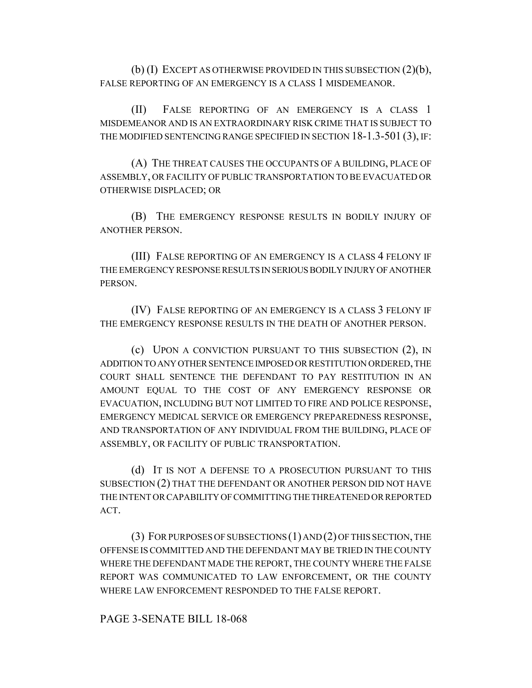(b) (I) EXCEPT AS OTHERWISE PROVIDED IN THIS SUBSECTION (2)(b), FALSE REPORTING OF AN EMERGENCY IS A CLASS 1 MISDEMEANOR.

(II) FALSE REPORTING OF AN EMERGENCY IS A CLASS 1 MISDEMEANOR AND IS AN EXTRAORDINARY RISK CRIME THAT IS SUBJECT TO THE MODIFIED SENTENCING RANGE SPECIFIED IN SECTION 18-1.3-501 (3), IF:

(A) THE THREAT CAUSES THE OCCUPANTS OF A BUILDING, PLACE OF ASSEMBLY, OR FACILITY OF PUBLIC TRANSPORTATION TO BE EVACUATED OR OTHERWISE DISPLACED; OR

(B) THE EMERGENCY RESPONSE RESULTS IN BODILY INJURY OF ANOTHER PERSON.

(III) FALSE REPORTING OF AN EMERGENCY IS A CLASS 4 FELONY IF THE EMERGENCY RESPONSE RESULTS IN SERIOUS BODILY INJURY OF ANOTHER PERSON.

(IV) FALSE REPORTING OF AN EMERGENCY IS A CLASS 3 FELONY IF THE EMERGENCY RESPONSE RESULTS IN THE DEATH OF ANOTHER PERSON.

(c) UPON A CONVICTION PURSUANT TO THIS SUBSECTION (2), IN ADDITION TO ANY OTHER SENTENCE IMPOSED OR RESTITUTION ORDERED, THE COURT SHALL SENTENCE THE DEFENDANT TO PAY RESTITUTION IN AN AMOUNT EQUAL TO THE COST OF ANY EMERGENCY RESPONSE OR EVACUATION, INCLUDING BUT NOT LIMITED TO FIRE AND POLICE RESPONSE, EMERGENCY MEDICAL SERVICE OR EMERGENCY PREPAREDNESS RESPONSE, AND TRANSPORTATION OF ANY INDIVIDUAL FROM THE BUILDING, PLACE OF ASSEMBLY, OR FACILITY OF PUBLIC TRANSPORTATION.

(d) IT IS NOT A DEFENSE TO A PROSECUTION PURSUANT TO THIS SUBSECTION (2) THAT THE DEFENDANT OR ANOTHER PERSON DID NOT HAVE THE INTENT OR CAPABILITY OF COMMITTING THE THREATENED OR REPORTED ACT.

(3) FOR PURPOSES OF SUBSECTIONS (1) AND (2) OF THIS SECTION, THE OFFENSE IS COMMITTED AND THE DEFENDANT MAY BE TRIED IN THE COUNTY WHERE THE DEFENDANT MADE THE REPORT, THE COUNTY WHERE THE FALSE REPORT WAS COMMUNICATED TO LAW ENFORCEMENT, OR THE COUNTY WHERE LAW ENFORCEMENT RESPONDED TO THE FALSE REPORT.

PAGE 3-SENATE BILL 18-068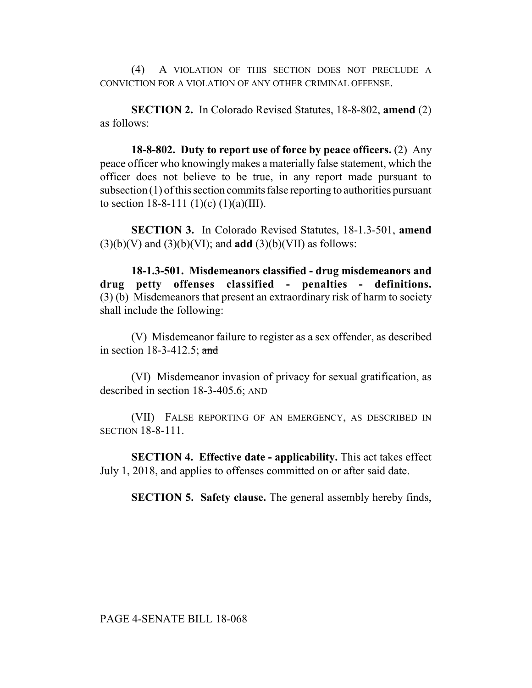(4) A VIOLATION OF THIS SECTION DOES NOT PRECLUDE A CONVICTION FOR A VIOLATION OF ANY OTHER CRIMINAL OFFENSE.

**SECTION 2.** In Colorado Revised Statutes, 18-8-802, **amend** (2) as follows:

**18-8-802. Duty to report use of force by peace officers.** (2) Any peace officer who knowingly makes a materially false statement, which the officer does not believe to be true, in any report made pursuant to subsection (1) of this section commits false reporting to authorities pursuant to section 18-8-111  $(\frac{1}{c})$  (1)(a)(III).

**SECTION 3.** In Colorado Revised Statutes, 18-1.3-501, **amend**  $(3)(b)(V)$  and  $(3)(b)(VI)$ ; and **add**  $(3)(b)(V)$  as follows:

**18-1.3-501. Misdemeanors classified - drug misdemeanors and drug petty offenses classified - penalties - definitions.** (3) (b) Misdemeanors that present an extraordinary risk of harm to society shall include the following:

(V) Misdemeanor failure to register as a sex offender, as described in section 18-3-412.5; and

(VI) Misdemeanor invasion of privacy for sexual gratification, as described in section 18-3-405.6; AND

(VII) FALSE REPORTING OF AN EMERGENCY, AS DESCRIBED IN SECTION 18-8-111.

**SECTION 4. Effective date - applicability.** This act takes effect July 1, 2018, and applies to offenses committed on or after said date.

**SECTION 5. Safety clause.** The general assembly hereby finds,